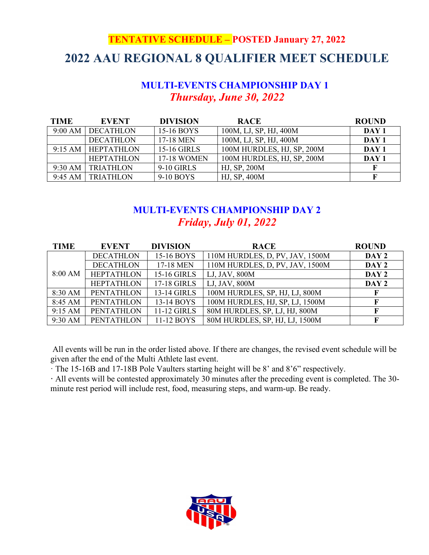# **TENTATIVE SCHEDULE – POSTED January 27, 2022 2022 AAU REGIONAL 8 QUALIFIER MEET SCHEDULE**

### **MULTI-EVENTS CHAMPIONSHIP DAY 1** *Thursday, June 30, 2022*

| <b>TIME</b> |                   | <b>EVENT</b>      | <b>DIVISION</b>    | <b>RACE</b>                | <b>ROUND</b>     |
|-------------|-------------------|-------------------|--------------------|----------------------------|------------------|
|             | 9:00 AM           | <b>DECATHLON</b>  | 15-16 BOYS         | 100M, LJ, SP, HJ, 400M     | DAY 1            |
|             |                   | <b>DECATHLON</b>  | 17-18 MEN          | 100M, LJ, SP, HJ, 400M     | DAY 1            |
|             | $9:15 \text{ AM}$ | <b>HEPTATHLON</b> | 15-16 GIRLS        | 100M HURDLES, HJ, SP, 200M | DAY <sub>1</sub> |
|             |                   | <b>HEPTATHLON</b> | <b>17-18 WOMEN</b> | 100M HURDLES, HJ, SP, 200M | DAY <sub>1</sub> |
|             | $9:30 \text{ AM}$ | <b>TRIATHLON</b>  | 9-10 GIRLS         | HJ, SP, 200M               |                  |
|             | 9:45 AM           | <b>TRIATHLON</b>  | 9-10 BOYS          | HJ, SP, 400M               |                  |

### **MULTI-EVENTS CHAMPIONSHIP DAY 2** *Friday, July 01, 2022*

| <b>TIME</b>       | <b>EVENT</b>      | <b>DIVISION</b>    | <b>RACE</b>                     | <b>ROUND</b> |
|-------------------|-------------------|--------------------|---------------------------------|--------------|
|                   | <b>DECATHLON</b>  | 15-16 BOYS         | 110M HURDLES, D, PV, JAV, 1500M | DAY 2        |
|                   | <b>DECATHLON</b>  | 17-18 MEN          | 110M HURDLES, D, PV, JAV, 1500M | DAY 2        |
| $8:00 \text{ AM}$ | <b>HEPTATHLON</b> | <b>15-16 GIRLS</b> | LJ, JAV, 800M                   | DAY 2        |
|                   | <b>HEPTATHLON</b> | 17-18 GIRLS        | LJ, JAV, 800M                   | DAY 2        |
| 8:30 AM           | <b>PENTATHLON</b> | 13-14 GIRLS        | 100M HURDLES, SP, HJ, LJ, 800M  |              |
| 8:45 AM           | <b>PENTATHLON</b> | 13-14 BOYS         | 100M HURDLES, HJ, SP, LJ, 1500M |              |
| 9:15 AM           | <b>PENTATHLON</b> | 11-12 GIRLS        | 80M HURDLES, SP, LJ, HJ, 800M   |              |
| 9:30 AM           | <b>PENTATHLON</b> | 11-12 BOYS         | 80M HURDLES, SP, HJ, LJ, 1500M  |              |

All events will be run in the order listed above. If there are changes, the revised event schedule will be given after the end of the Multi Athlete last event.

· The 15-16B and 17-18B Pole Vaulters starting height will be 8' and 8'6" respectively.

**·** All events will be contested approximately 30 minutes after the preceding event is completed. The 30 minute rest period will include rest, food, measuring steps, and warm-up. Be ready.

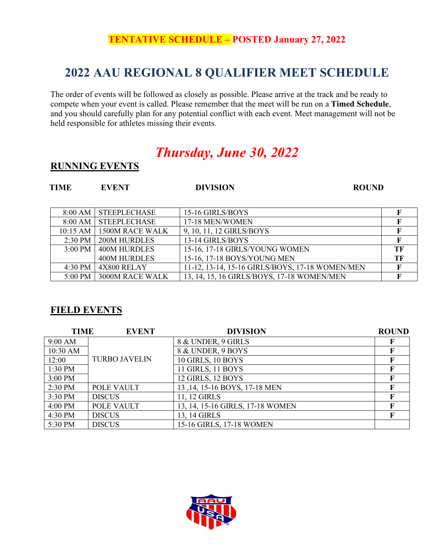## **TENTATIVE SCHEDULE – POSTED January 27, 2022**

## **2022 AAU REGIONAL 8 QUALIFIER MEET SCHEDULE**

The order of events will be followed as closely as possible. Please arrive at the track and be ready to compete when your event is called. Please remember that the meet will be run on a **Timed Schedule**, and you should carefully plan for any potential conflict with each event. Meet management will not be held responsible for athletes missing their events.

# *Thursday, June 30, 2022*

#### **RUNNING EVENTS**

### **TIME EVENT DIVISION ROUND**

| 8:00 AM           | <b>STEEPLECHASE</b> | 15-16 GIRLS/BOYS                                |    |
|-------------------|---------------------|-------------------------------------------------|----|
| 8:00 AM           | <b>STEEPLECHASE</b> | 17-18 MEN/WOMEN                                 |    |
| $10:15$ AM        | 1500M RACE WALK     | 9, 10, 11, 12 GIRLS/BOYS                        |    |
| $2:30 \text{ PM}$ | <b>200M HURDLES</b> | 13-14 GIRLS/BOYS                                |    |
| $3:00 \text{ PM}$ | <b>400M HURDLES</b> | 15-16, 17-18 GIRLS/YOUNG WOMEN                  | TЕ |
|                   | <b>400M HURDLES</b> | 15-16, 17-18 BOYS/YOUNG MEN                     | TF |
| $4:30$ PM         | 4X800 RELAY         | 11-12, 13-14, 15-16 GIRLS/BOYS, 17-18 WOMEN/MEN |    |
| $5:00$ PM         | 3000M RACE WALK     | 13, 14, 15, 16 GIRLS/BOYS, 17-18 WOMEN/MEN      |    |

### **FIELD EVENTS**

| <b>TIME</b> | <b>EVENT</b>         | <b>DIVISION</b>                  | <b>ROUND</b> |
|-------------|----------------------|----------------------------------|--------------|
| 9:00 AM     |                      | 8 & UNDER, 9 GIRLS               |              |
| 10:30 AM    |                      | 8 & UNDER, 9 BOYS                | F            |
| 12:00       | <b>TURBO JAVELIN</b> | 10 GIRLS, 10 BOYS                | F            |
| 1:30 PM     |                      | 11 GIRLS, 11 BOYS                | F            |
| 3:00 PM     |                      | 12 GIRLS, 12 BOYS                | F            |
| $2:30$ PM   | POLE VAULT           | 13, 14, 15-16 BOYS, 17-18 MEN    | F            |
| 3:30 PM     | <b>DISCUS</b>        | 11, 12 GIRLS                     | F            |
| 4:00 PM     | POLE VAULT           | 13, 14, 15-16 GIRLS, 17-18 WOMEN |              |
| 4:30 PM     | <b>DISCUS</b>        | 13, 14 GIRLS                     | F            |
| 5:30 PM     | <b>DISCUS</b>        | 15-16 GIRLS, 17-18 WOMEN         |              |

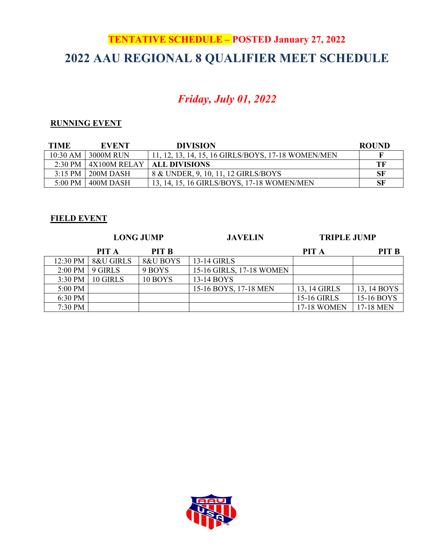# **TENTATIVE SCHEDULE – POSTED January 27, 2022 2022 AAU REGIONAL 8 QUALIFIER MEET SCHEDULE**

## *Friday, July 01, 2022*

#### **RUNNING EVENT**

| <b>TIME</b>       | <b>EVENT</b>    | <b>DIVISION</b>                                         | <b>ROUND</b> |
|-------------------|-----------------|---------------------------------------------------------|--------------|
| $10:30$ AM        | 3000M RUN       | 11, 12, 13, 14, 15, 16 GIRLS/BOYS, 17-18 WOMEN/MEN      |              |
| $2:30$ PM         | $-4X100M$ RELAY | ALL DIVISIONS                                           | TF           |
| $3:15$ PM         | 200M DASH       | 8 & UNDER, 9, 10, 11, 12 GIRLS/BOYS                     | SF           |
| $5:00 \text{ PM}$ | 400M DASH       | <sup>1</sup> 13, 14, 15, 16 GIRLS/BOYS, 17-18 WOMEN/MEN | SF           |

#### **FIELD EVENT**

|           | <b>LONG JUMP</b> |              | <b>JAVELIN</b>           | <b>TRIPLE JUMP</b> |              |
|-----------|------------------|--------------|--------------------------|--------------------|--------------|
|           | PIT A            | <b>PIT B</b> |                          | PIT A              | <b>PIT B</b> |
| 12:30 PM  | 8&U GIRLS        | 8&U BOYS     | 13-14 GIRLS              |                    |              |
| $2:00$ PM | 9 GIRLS          | 9 BOYS       | 15-16 GIRLS, 17-18 WOMEN |                    |              |
| $3:30$ PM | 10 GIRLS         | 10 BOYS      | 13-14 BOYS               |                    |              |
| 5:00 PM   |                  |              | 15-16 BOYS, 17-18 MEN    | 13, 14 GIRLS       | 13, 14 BOYS  |
| 6:30 PM   |                  |              |                          | <b>15-16 GIRLS</b> | 15-16 BOYS   |
| 7:30 PM   |                  |              |                          | <b>17-18 WOMEN</b> | 17-18 MEN    |

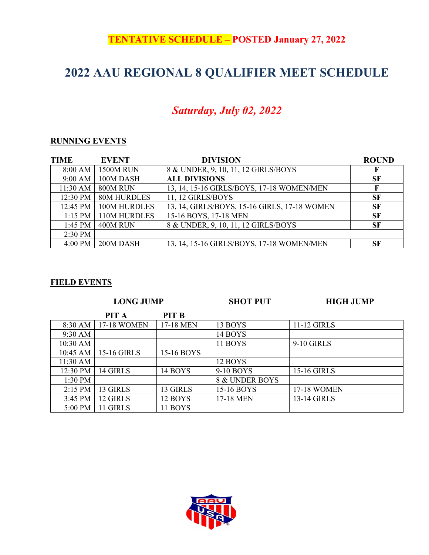## **TENTATIVE SCHEDULE – POSTED January 27, 2022**

## **2022 AAU REGIONAL 8 QUALIFIER MEET SCHEDULE**

## *Saturday, July 02, 2022*

### **RUNNING EVENTS**

| <b>TIME</b> | <b>EVENT</b>     | <b>DIVISION</b>                              | <b>ROUND</b> |
|-------------|------------------|----------------------------------------------|--------------|
| 8:00 AM     | <b>1500M RUN</b> | 8 & UNDER, 9, 10, 11, 12 GIRLS/BOYS          |              |
| $9:00$ AM   | 100M DASH        | <b>ALL DIVISIONS</b>                         | <b>SF</b>    |
| 11:30 AM    | 800M RUN         | 13, 14, 15-16 GIRLS/BOYS, 17-18 WOMEN/MEN    |              |
| 12:30 PM    | 80M HURDLES      | 11, 12 GIRLS/BOYS                            | <b>SF</b>    |
| 12:45 PM    | 100M HURDLES     | 13, 14, GIRLS/BOYS, 15-16 GIRLS, 17-18 WOMEN | <b>SF</b>    |
| $1:15$ PM   | 110M HURDLES     | 15-16 BOYS, 17-18 MEN                        | <b>SF</b>    |
| $1:45$ PM   | 400M RUN         | 8 & UNDER, 9, 10, 11, 12 GIRLS/BOYS          | <b>SF</b>    |
| $2:30$ PM   |                  |                                              |              |
| 4:00 PM     | 200M DASH        | 13, 14, 15-16 GIRLS/BOYS, 17-18 WOMEN/MEN    | <b>SF</b>    |

#### **FIELD EVENTS**

| 11-12 GIRLS        |
|--------------------|
|                    |
|                    |
|                    |
| 9-10 GIRLS         |
|                    |
|                    |
| 15-16 GIRLS        |
| 8 & UNDER BOYS     |
| <b>17-18 WOMEN</b> |
| 13-14 GIRLS        |
|                    |
|                    |